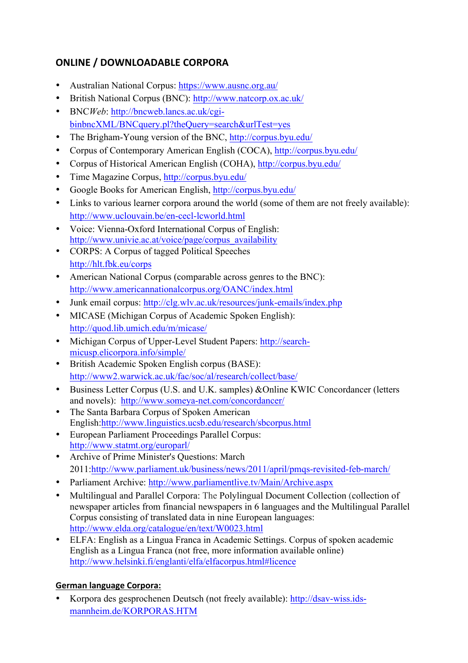# **ONLINE / DOWNLOADABLE CORPORA**

- Australian National Corpus: https://www.ausnc.org.au/
- British National Corpus (BNC): http://www.natcorp.ox.ac.uk/
- BNC*Web*: http://bncweb.lancs.ac.uk/cgibinbncXML/BNCquery.pl?theQuery=search&urlTest=yes
- The Brigham-Young version of the BNC, http://corpus.byu.edu/
- Corpus of Contemporary American English (COCA), http://corpus.byu.edu/
- Corpus of Historical American English (COHA), http://corpus.byu.edu/
- Time Magazine Corpus, http://corpus.byu.edu/
- Google Books for American English, http://corpus.byu.edu/
- Links to various learner corpora around the world (some of them are not freely available): http://www.uclouvain.be/en-cecl-lcworld.html
- Voice: Vienna-Oxford International Corpus of English: http://www.univie.ac.at/voice/page/corpus\_availability
- CORPS: A Corpus of tagged Political Speeches http://hlt.fbk.eu/corps
- American National Corpus (comparable across genres to the BNC): http://www.americannationalcorpus.org/OANC/index.html
- Junk email corpus: http://clg.wlv.ac.uk/resources/junk-emails/index.php
- MICASE (Michigan Corpus of Academic Spoken English): http://quod.lib.umich.edu/m/micase/
- Michigan Corpus of Upper-Level Student Papers: http://searchmicusp.elicorpora.info/simple/
- British Academic Spoken English corpus (BASE): http://www2.warwick.ac.uk/fac/soc/al/research/collect/base/
- Business Letter Corpus (U.S. and U.K. samples) &Online KWIC Concordancer (letters and novels): http://www.someya-net.com/concordancer/
- The Santa Barbara Corpus of Spoken American English:http://www.linguistics.ucsb.edu/research/sbcorpus.html
- European Parliament Proceedings Parallel Corpus: http://www.statmt.org/europarl/
- Archive of Prime Minister's Questions: March 2011:http://www.parliament.uk/business/news/2011/april/pmqs-revisited-feb-march/
- Parliament Archive: http://www.parliamentlive.tv/Main/Archive.aspx
- Multilingual and Parallel Corpora: The Polylingual Document Collection (collection of newspaper articles from financial newspapers in 6 languages and the Multilingual Parallel Corpus consisting of translated data in nine European languages: http://www.elda.org/catalogue/en/text/W0023.html
- ELFA: English as a Lingua Franca in Academic Settings. Corpus of spoken academic English as a Lingua Franca (not free, more information available online) http://www.helsinki.fi/englanti/elfa/elfacorpus.html#licence

# **German language Corpora:**

• Korpora des gesprochenen Deutsch (not freely available): http://dsav-wiss.idsmannheim.de/KORPORAS.HTM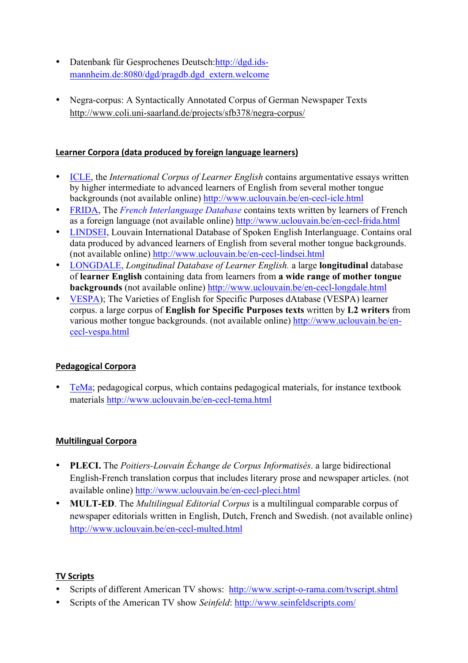- Datenbank für Gesprochenes Deutsch: http://dgd.idsmannheim.de:8080/dgd/pragdb.dgd\_extern.welcome
- Negra-corpus: A Syntactically Annotated Corpus of German Newspaper Texts http://www.coli.uni-saarland.de/projects/sfb378/negra-corpus/

#### Learner Corpora (data produced by foreign language learners)

- ICLE, the *International Corpus of Learner English* contains argumentative essays written by higher intermediate to advanced learners of English from several mother tongue backgrounds (not available online) http://www.uclouvain.be/en-cecl-icle.html
- FRIDA, The *French Interlanguage Database* contains texts written by learners of French as a foreign language (not available online) http://www.uclouvain.be/en-cecl-frida.html
- LINDSEI, Louvain International Database of Spoken English Interlanguage. Contains oral data produced by advanced learners of English from several mother tongue backgrounds. (not available online) http://www.uclouvain.be/en-cecl-lindsei.html
- LONGDALE, *Longitudinal Database of Learner English.* a large **longitudinal** database of **learner English** containing data from learners from **a wide range of mother tongue backgrounds** (not available online) http://www.uclouvain.be/en-cecl-longdale.html
- VESPA); The Varieties of English for Specific Purposes dAtabase (VESPA) learner corpus. a large corpus of **English for Specific Purposes texts** written by **L2 writers** from various mother tongue backgrounds. (not available online) http://www.uclouvain.be/encecl-vespa.html

## **Pedagogical Corpora**

• TeMa; pedagogical corpus, which contains pedagogical materials, for instance textbook materials http://www.uclouvain.be/en-cecl-tema.html

## **Multilingual Corpora**

- **PLECI.** The *Poitiers-Louvain Échange de Corpus Informatisés*. a large bidirectional English-French translation corpus that includes literary prose and newspaper articles. (not available online) http://www.uclouvain.be/en-cecl-pleci.html
- **MULT-ED**. The *Multilingual Editorial Corpus* is a multilingual comparable corpus of newspaper editorials written in English, Dutch, French and Swedish. (not available online) http://www.uclouvain.be/en-cecl-multed.html

#### **TV Scripts**

- Scripts of different American TV shows: http://www.script-o-rama.com/tvscript.shtml
- Scripts of the American TV show *Seinfeld*: http://www.seinfeldscripts.com/